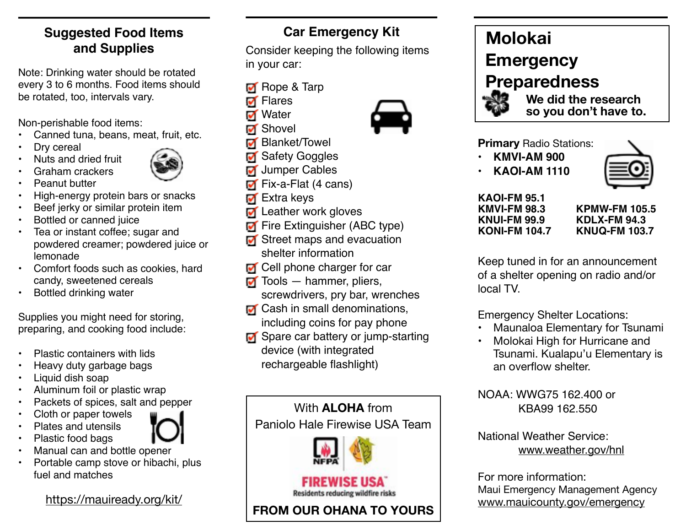## **Suggested Food Items and Supplies**

Note: Drinking water should be rotated every 3 to 6 months. Food items should be rotated, too, intervals vary.

Non-perishable food items:

- Canned tuna, beans, meat, fruit, etc.
- Drv cereal
- Nuts and dried fruit



• Graham crackers



- 
- High-energy protein bars or snacks
- Beef jerky or similar protein item
- Bottled or canned juice
- Tea or instant coffee; sugar and powdered creamer; powdered juice or lemonade
- Comfort foods such as cookies, hard candy, sweetened cereals
- Bottled drinking water

Supplies you might need for storing, preparing, and cooking food include:

- Plastic containers with lids
- Heavy duty garbage bags
- Liquid dish soap
- Aluminum foil or plastic wrap
- Packets of spices, salt and pepper
- Cloth or paper towels
- Plates and utensils
- Plastic food bags
- Manual can and bottle opener
- Portable camp stove or hibachi, plus fuel and matches

<https://mauiready.org/kit/>

# **Car Emergency Kit**

Consider keeping the following items in your car:

- **M** Rope & Tarp
- **M** Flares
- **M** Water
- M Shovel
- **M** Blanket/Towel
- **M** Safety Goggles
- **Jumper Cables**
- **Fix-a-Flat (4 cans)**
- **M** Extra keys
- **Leather work gloves**
- **Fire Extinguisher (ABC type)**
- Street maps and evacuation shelter information
- **T** Cell phone charger for car
- $\blacksquare$  Tools hammer, pliers, screwdrivers, pry bar, wrenches
- **M** Cash in small denominations, including coins for pay phone
- Spare car battery or jump-starting device (with integrated rechargeable flashlight)



Residents reducing wildfire risks

**FROM OUR OHANA TO YOURS**

# **Molokai Emergency Preparedness**

 **We did the research so you don't have to.**

**Primary** Radio Stations:

- **• KMVI-AM 900**
- **• KAOI-AM 1110**



#### **KAOI-FM 95.1 KMVI-FM 98.3 KNUI-FM 99.9 KONI-FM 104.7**

**KPMW-FM 105.5 KDLX-FM 94.3 KNUQ-FM 103.7**

Keep tuned in for an announcement of a shelter opening on radio and/or local TV.

Emergency Shelter Locations:

- Maunaloa Elementary for Tsunami
- Molokai High for Hurricane and Tsunami. Kualapu'u Elementary is an overflow shelter.

NOAA: WWG75 162.400 or KBA99 162.550

#### National Weather Service: [www.weather.gov/hnl](http://www.weather.gov/hnl)

For more information: Maui Emergency Management Agency [www.mauicounty.gov/emergency](http://www.mauicounty.gov/emergency)